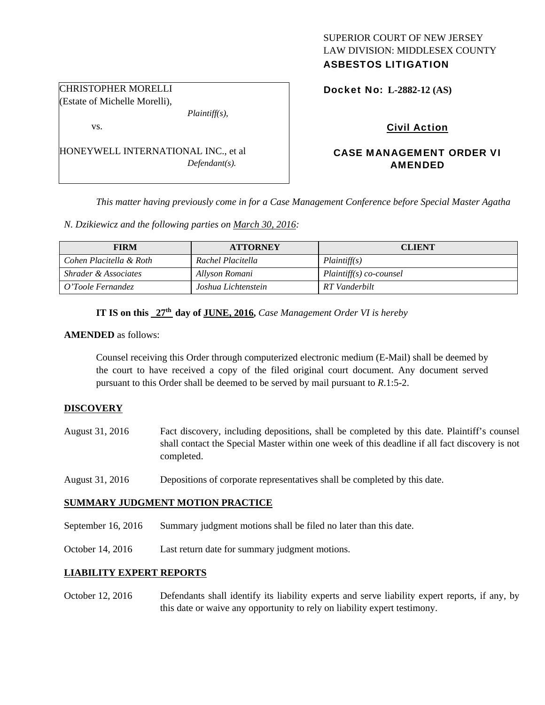# SUPERIOR COURT OF NEW JERSEY LAW DIVISION: MIDDLESEX COUNTY

# ASBESTOS LITIGATION

Docket No: **L-2882-12 (AS)** 

(Estate of Michelle Morelli), *Plaintiff(s),* 

vs.

CHRISTOPHER MORELLI

HONEYWELL INTERNATIONAL INC., et al *Defendant(s).* 

Civil Action

# CASE MANAGEMENT ORDER VI AMENDED

*This matter having previously come in for a Case Management Conference before Special Master Agatha* 

*N. Dzikiewicz and the following parties on March 30, 2016:* 

| <b>FIRM</b>                     | <b>ATTORNEY</b>     | <b>CLIENT</b>             |
|---------------------------------|---------------------|---------------------------|
| Cohen Placitella & Roth         | Rachel Placitella   | Plaintiff(s)              |
| <i>Shrader &amp; Associates</i> | Allyson Romani      | $Plaintiff(s) co-coursel$ |
| O'Toole Fernandez               | Joshua Lichtenstein | RT Vanderbilt             |

# **IT IS on this 27th day of JUNE, 2016,** *Case Management Order VI is hereby*

#### **AMENDED** as follows:

Counsel receiving this Order through computerized electronic medium (E-Mail) shall be deemed by the court to have received a copy of the filed original court document. Any document served pursuant to this Order shall be deemed to be served by mail pursuant to *R*.1:5-2.

#### **DISCOVERY**

- August 31, 2016 Fact discovery, including depositions, shall be completed by this date. Plaintiff's counsel shall contact the Special Master within one week of this deadline if all fact discovery is not completed.
- August 31, 2016 Depositions of corporate representatives shall be completed by this date.

# **SUMMARY JUDGMENT MOTION PRACTICE**

- September 16, 2016 Summary judgment motions shall be filed no later than this date.
- October 14, 2016 Last return date for summary judgment motions.

# **LIABILITY EXPERT REPORTS**

October 12, 2016 Defendants shall identify its liability experts and serve liability expert reports, if any, by this date or waive any opportunity to rely on liability expert testimony.